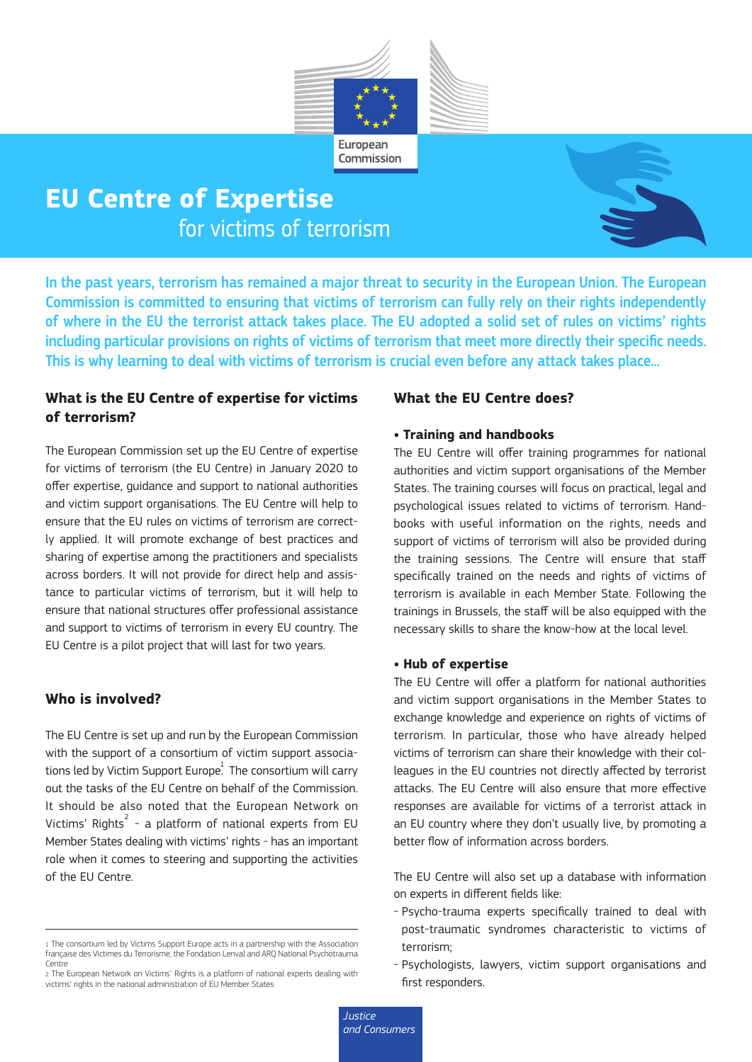

# **EU Centre of Expertise**<br>for victims of terrorism



In the past years, terrorism has remained a major threat to security in the European Union. The European Commission is committed to ensuring that victims of terrorism can fully rely on their rights independently of where in the EU the terrorist attack takes place. The EU adopted a solid set of rules on victims' rights including particular provisions on rights of victims of terrorism that meet more directly their specific needs. This is why learning to deal with victims of terrorism is crucial even before any attack takes place...

### **What is the EU Centre of expertise for victims of terrorism?**

The European Commission set up the EU Centre of expertise for victims of terrorism (the EU Centre) in January 2020 to offer expertise, guidance and support to national authorities and victim support organisations. The EU Centre will help to ensure that the EU rules on victims of terrorism are correctly applied. It will promote exchange of best practices and sharing of expertise among the practitioners and specialists across borders. It will not provide for direct help and assistance to particular victims of terrorism, but it will help to ensure that national structures offer professional assistance and support to victims of terrorism in every EU country. The EU Centre is a pilot project that will last for two years.

#### **Who is involved?**

The EU Centre is set up and run by the European Commission with the support of a consortium of victim support associations led by Victim Support Europe $^{\rm l}$ . The consortium will carry out the tasks of the EU Centre on behalf of the Commission. It should be also noted that the European Network on Victims' Rights $^{2}$  - a platform of national experts from EU Member States dealing with victims' rights - has an important role when it comes to steering and supporting the activities of the EU Centre.

#### **What the EU Centre does?**

#### **• Training and handbooks**

The EU Centre will offer training programmes for national authorities and victim support organisations of the Member States. The training courses will focus on practical, legal and psychological issues related to victims of terrorism. Handbooks with useful information on the rights, needs and support of victims of terrorism will also be provided during the training sessions. The Centre will ensure that staff specifically trained on the needs and rights of victims of terrorism is available in each Member State. Following the trainings in Brussels, the staff will be also equipped with the necessary skills to share the know-how at the local level.

#### **• Hub of expertise**

The EU Centre will offer a platform for national authorities and victim support organisations in the Member States to exchange knowledge and experience on rights of victims of terrorism. In particular, those who have already helped victims of terrorism can share their knowledge with their colleagues in the EU countries not directly affected by terrorist attacks. The EU Centre will also ensure that more effective responses are available for victims of a terrorist attack in an EU country where they don't usually live, by promoting a better flow of information across borders.

The EU Centre will also set up a database with information on experts in different fields like:

- Psycho-trauma experts specifically trained to deal with post-traumatic syndromes characteristic to victims of terrorism;
- Psychologists, lawyers, victim support organisations and first responders.

<sup>1</sup> The consortium led by Victims Support Europe acts in a partnership with the Association française des Victimes du Terrorisme, the Fondation Lenval and ARQ National Psychotrauma Centre

<sup>2</sup> The European Network on Victims' Rights is a platform of national experts dealing with victims' rights in the national administration of EU Member States